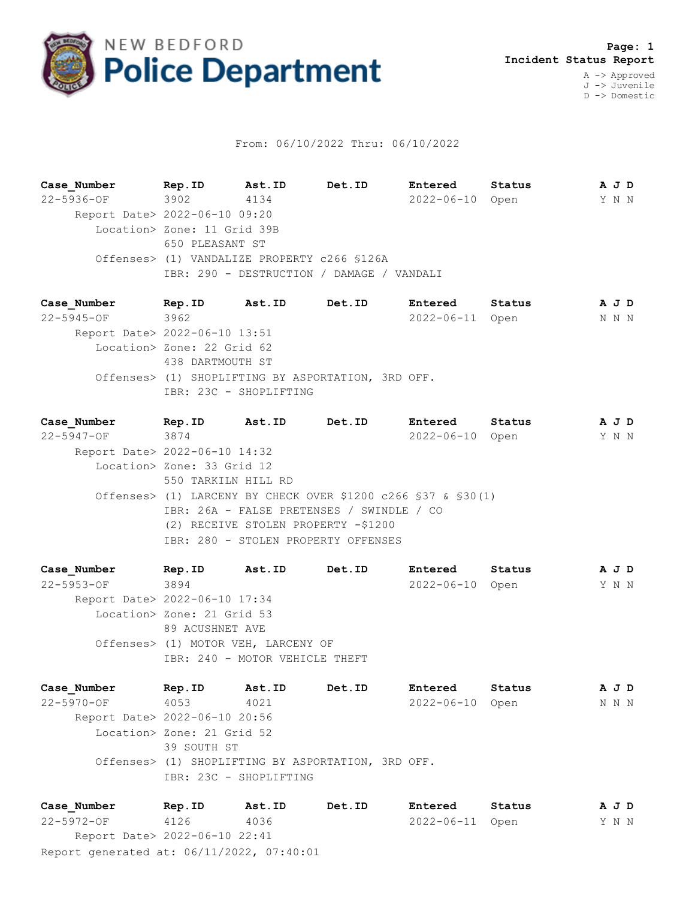

## From: 06/10/2022 Thru: 06/10/2022

**Case\_Number Rep.ID Ast.ID Det.ID Entered Status A J D** 22-5936-OF 3902 4134 2022-06-10 Open Y N N Report Date> 2022-06-10 09:20 Location> Zone: 11 Grid 39B 650 PLEASANT ST Offenses> (1) VANDALIZE PROPERTY c266 §126A IBR: 290 - DESTRUCTION / DAMAGE / VANDALI

**Case\_Number Rep.ID Ast.ID Det.ID Entered Status A J D** 22-5945-OF 3962 2022-06-11 Open N N N Report Date> 2022-06-10 13:51 Location> Zone: 22 Grid 62 438 DARTMOUTH ST Offenses> (1) SHOPLIFTING BY ASPORTATION, 3RD OFF. IBR: 23C - SHOPLIFTING

**Case\_Number Rep.ID Ast.ID Det.ID Entered Status A J D** 22-5947-OF 3874 2022-06-10 Open Y N N Report Date> 2022-06-10 14:32 Location> Zone: 33 Grid 12 550 TARKILN HILL RD Offenses> (1) LARCENY BY CHECK OVER \$1200 c266 §37 & §30(1) IBR: 26A - FALSE PRETENSES / SWINDLE / CO (2) RECEIVE STOLEN PROPERTY -\$1200 IBR: 280 - STOLEN PROPERTY OFFENSES

**Case\_Number Rep.ID Ast.ID Det.ID Entered Status A J D** 22-5953-OF 3894 2022-06-10 Open Y N N Report Date> 2022-06-10 17:34 Location> Zone: 21 Grid 53 89 ACUSHNET AVE Offenses> (1) MOTOR VEH, LARCENY OF IBR: 240 - MOTOR VEHICLE THEFT

**Case\_Number Rep.ID Ast.ID Det.ID Entered Status A J D** 22-5970-OF 4053 4021 2022-06-10 Open N N N Report Date> 2022-06-10 20:56 Location> Zone: 21 Grid 52 39 SOUTH ST Offenses> (1) SHOPLIFTING BY ASPORTATION, 3RD OFF. IBR: 23C - SHOPLIFTING

Report generated at: 06/11/2022, 07:40:01 **Case\_Number Rep.ID Ast.ID Det.ID Entered Status A J D** 22-5972-OF 4126 4036 2022-06-11 Open Y N N Report Date> 2022-06-10 22:41